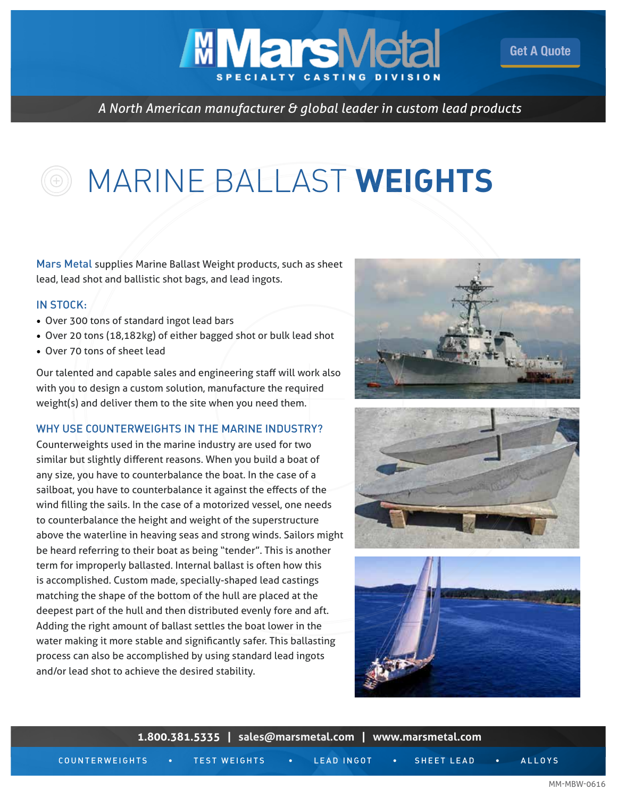# **MMars**

*A North American manufacturer & global leader in custom lead products*

### MARINE BALLAST **WEIGHTS**

Mars Metal supplies Marine Ballast Weight products, such as sheet lead, lead shot and ballistic shot bags, and lead ingots.

#### IN STOCK:

- Over 300 tons of standard ingot lead bars
- Over 20 tons (18,182kg) of either bagged shot or bulk lead shot
- Over 70 tons of sheet lead

Our talented and capable sales and engineering staff will work also with you to design a custom solution, manufacture the required weight(s) and deliver them to the site when you need them.

#### WHY USE COUNTERWEIGHTS IN THE MARINE INDUSTRY?

Counterweights used in the marine industry are used for two similar but slightly different reasons. When you build a boat of any size, you have to counterbalance the boat. In the case of a sailboat, you have to counterbalance it against the effects of the wind filling the sails. In the case of a motorized vessel, one needs to counterbalance the height and weight of the superstructure above the waterline in heaving seas and strong winds. Sailors might be heard referring to their boat as being "tender". This is another term for improperly ballasted. Internal ballast is often how this is accomplished. Custom made, specially-shaped lead castings matching the shape of the bottom of the hull are placed at the deepest part of the hull and then distributed evenly fore and aft. Adding the right amount of ballast settles the boat lower in the water making it more stable and significantly safer. This ballasting process can also be accomplished by using standard lead ingots and/or lead shot to achieve the desired stability.



[Get A Quote](http://marsmetal.com/contact-us/request-a-quote/)